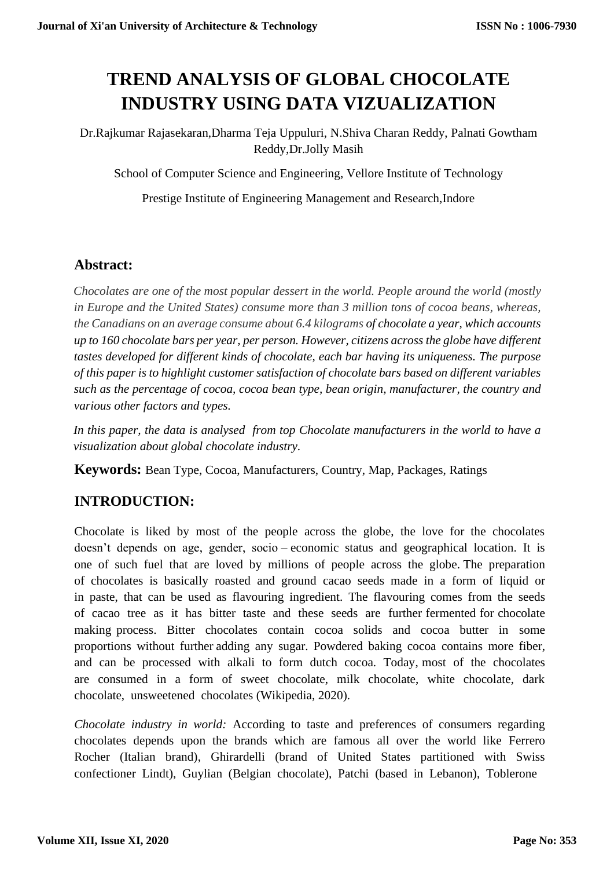# **TREND ANALYSIS OF GLOBAL CHOCOLATE INDUSTRY USING DATA VIZUALIZATION**

Dr.Rajkumar Rajasekaran,Dharma Teja Uppuluri, N.Shiva Charan Reddy, Palnati Gowtham Reddy,Dr.Jolly Masih

School of Computer Science and Engineering, Vellore Institute of Technology

Prestige Institute of Engineering Management and Research,Indore

#### **Abstract:**

*Chocolates are one of the most popular dessert in the world. People around the world (mostly in Europe and the United States) consume more than 3 million tons of cocoa beans, whereas, the Canadians on an average consume about 6.4 kilograms of chocolate a year, which accounts up to 160 chocolate bars per year, per person. However, citizens across the globe have different tastes developed for different kinds of chocolate, each bar having its uniqueness. The purpose of this paper is to highlight customer satisfaction of chocolate bars based on different variables such as the percentage of cocoa, cocoa bean type, bean origin, manufacturer, the country and various other factors and types.* 

*In this paper, the data is analysed from top Chocolate manufacturers in the world to have a visualization about global chocolate industry.* 

**Keywords:** Bean Type, Cocoa, Manufacturers, Country, Map, Packages, Ratings

### **INTRODUCTION:**

Chocolate is liked by most of the people across the globe, the love for the chocolates doesn't depends on age, gender, socio – economic status and geographical location. It is one of such fuel that are loved by millions of people across the globe. The preparation of chocolates is basically roasted and ground cacao seeds made in a form of liquid or in paste, that can be used as flavouring ingredient. The flavouring comes from the seeds of cacao tree as it has bitter taste and these seeds are further fermented for chocolate making process. Bitter chocolates contain cocoa solids and cocoa butter in some proportions without further adding any sugar. Powdered baking cocoa contains more fiber, and can be processed with alkali to form dutch cocoa. Today, most of the chocolates are consumed in a form of sweet chocolate, milk chocolate, white chocolate, dark chocolate, unsweetened chocolates (Wikipedia, 2020).

*Chocolate industry in world:* According to taste and preferences of consumers regarding chocolates depends upon the brands which are famous all over the world like Ferrero Rocher (Italian brand), Ghirardelli (brand of United States partitioned with Swiss confectioner Lindt), Guylian (Belgian chocolate), Patchi (based in Lebanon), Toblerone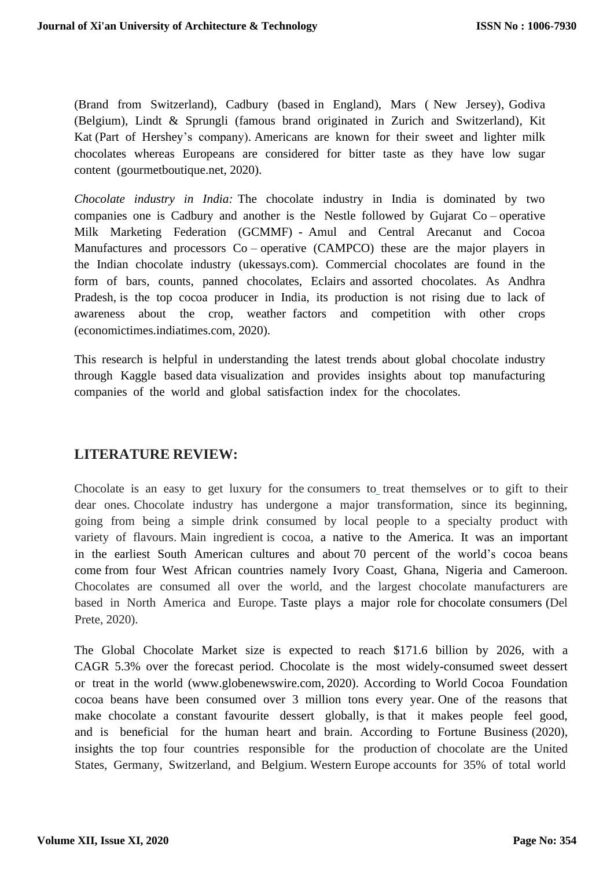(Brand from Switzerland), Cadbury (based in England), Mars ( New Jersey), Godiva (Belgium), Lindt & Sprungli (famous brand originated in Zurich and Switzerland), Kit Kat (Part of Hershey's company). Americans are known for their sweet and lighter milk chocolates whereas Europeans are considered for bitter taste as they have low sugar content (gourmetboutique.net, 2020).

*Chocolate industry in India:* The chocolate industry in India is dominated by two companies one is Cadbury and another is the Nestle followed by Gujarat Co – operative Milk Marketing Federation (GCMMF) - Amul and Central Arecanut and Cocoa Manufactures and processors Co – operative (CAMPCO) these are the major players in the Indian chocolate industry (ukessays.com). Commercial chocolates are found in the form of bars, counts, panned chocolates, Eclairs and assorted chocolates. As Andhra Pradesh, is the top cocoa producer in India, its production is not rising due to lack of awareness about the crop, weather factors and competition with other crops (economictimes.indiatimes.com, 2020).

This research is helpful in understanding the latest trends about global chocolate industry through Kaggle based data visualization and provides insights about top manufacturing companies of the world and global satisfaction index for the chocolates.

#### **LITERATURE REVIEW:**

Chocolate is an easy to get luxury for the consumers to treat themselves or to gift to their dear ones. Chocolate industry has undergone a major transformation, since its beginning, going from being a simple drink consumed by local people to a specialty product with variety of flavours. Main ingredient is cocoa, a native to the America. It was an important in the earliest South American cultures and about 70 percent of the world's cocoa beans come from four West African countries namely Ivory Coast, Ghana, Nigeria and Cameroon. Chocolates are consumed all over the world, and the largest chocolate manufacturers are based in North America and Europe. Taste plays a major role for chocolate consumers (Del Prete, 2020).

The Global Chocolate Market size is expected to reach \$171.6 billion by 2026, with a CAGR 5.3% over the forecast period. Chocolate is the most widely-consumed sweet dessert or treat in the world [\(www.globenewswire.com,](http://www.globenewswire.com/) 2020). According to World Cocoa Foundation cocoa beans have been consumed over 3 million tons every year. One of the reasons that make chocolate a constant favourite dessert globally, is that it makes people feel good, and is beneficial for the human heart and brain. According to Fortune Business (2020), insights the top four countries responsible for the production of chocolate are the United States, Germany, Switzerland, and Belgium. Western Europe accounts for 35% of total world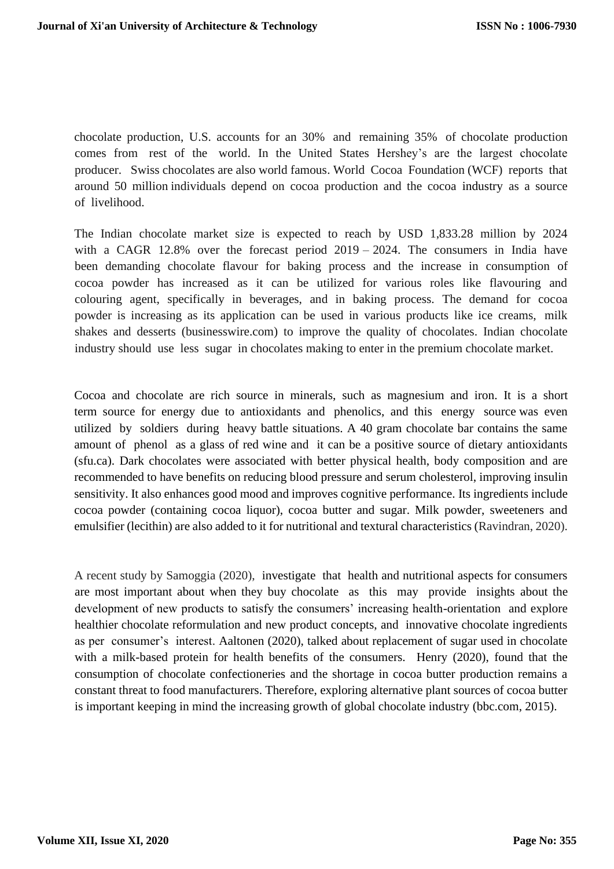chocolate production, U.S. accounts for an 30% and remaining 35% of chocolate production comes from rest of the world. In the United States Hershey's are the largest chocolate producer. Swiss chocolates are also world famous. World Cocoa Foundation (WCF) reports that around 50 million individuals depend on cocoa production and the cocoa [industry](https://www.investopedia.com/terms/i/industry.asp) as a source of livelihood.

The Indian chocolate market size is expected to reach by USD 1,833.28 million by 2024 with a CAGR 12.8% over the forecast period  $2019 - 2024$ . The consumers in India have been demanding chocolate flavour for baking process and the increase in consumption of cocoa powder has increased as it can be utilized for various roles like flavouring and colouring agent, specifically in beverages, and in baking process. The demand for cocoa powder is increasing as its application can be used in various products like ice creams, milk shakes and desserts (businesswire.com) to improve the quality of chocolates. Indian chocolate industry should use less sugar in chocolates making to enter in the premium chocolate market.

Cocoa and chocolate are rich source in minerals, such as magnesium and iron. It is a short term source for energy due to antioxidants and phenolics, and this energy source was even utilized by soldiers during heavy battle situations. A 40 gram chocolate bar contains the same amount of phenol as a glass of red wine and it can be a positive source of dietary antioxidants (sfu.ca). Dark chocolates were associated with better physical health, body composition and are recommended to have benefits on reducing blood pressure and serum cholesterol, improving insulin sensitivity. It also enhances good mood and improves cognitive performance. Its ingredients include cocoa powder (containing cocoa liquor), cocoa butter and sugar. Milk powder, sweeteners and emulsifier (lecithin) are also added to it for nutritional and textural characteristics (Ravindran, 2020).

A recent study by Samoggia (2020), investigate that health and nutritional aspects for consumers are most important about when they buy chocolate as this may provide insights about the development of new products to satisfy the consumers' increasing health-orientation and explore healthier chocolate reformulation and new product concepts, and innovative chocolate ingredients as per consumer's interest. Aaltonen (2020), talked about replacement of sugar used in chocolate with a milk-based protein for health benefits of the consumers. Henry (2020), found that the consumption of chocolate confectioneries and the shortage in cocoa butter production remains a constant threat to food manufacturers. Therefore, exploring alternative plant sources of cocoa butter is important keeping in mind the increasing growth of global chocolate industry (bbc.com, 2015).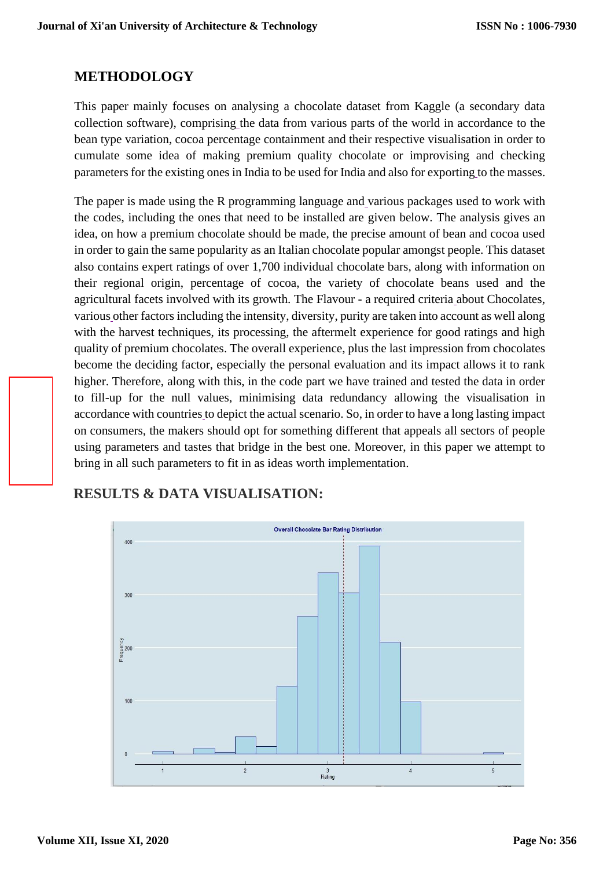#### **METHODOLOGY**

This paper mainly focuses on analysing a chocolate dataset from Kaggle (a secondary data collection software), comprising the data from various parts of the world in accordance to the bean type variation, cocoa percentage containment and their respective visualisation in order to cumulate some idea of making premium quality chocolate or improvising and checking parameters for the existing ones in India to be used for India and also for exporting to the masses.

The paper is made using the R programming language and various packages used to work with the codes, including the ones that need to be installed are given below. The analysis gives an idea, on how a premium chocolate should be made, the precise amount of bean and cocoa used in order to gain the same popularity as an Italian chocolate popular amongst people. This dataset also contains expert ratings of over 1,700 individual chocolate bars, along with information on their regional origin, percentage of cocoa, the variety of chocolate beans used and the agricultural facets involved with its growth. The Flavour - a required criteria about Chocolates, various other factors including the intensity, diversity, purity are taken into account as well along with the harvest techniques, its processing, the aftermelt experience for good ratings and high quality of premium chocolates. The overall experience, plus the last impression from chocolates become the deciding factor, especially the personal evaluation and its impact allows it to rank higher. Therefore, along with this, in the code part we have trained and tested the data in order to fill-up for the null values, minimising data redundancy allowing the visualisation in accordance with countries to depict the actual scenario. So, in order to have a long lasting impact on consumers, the makers should opt for something different that appeals all sectors of people using parameters and tastes that bridge in the best one. Moreover, in this paper we attempt to bring in all such parameters to fit in as ideas worth implementation.

## **RESULTS & DATA VISUALISATION:**

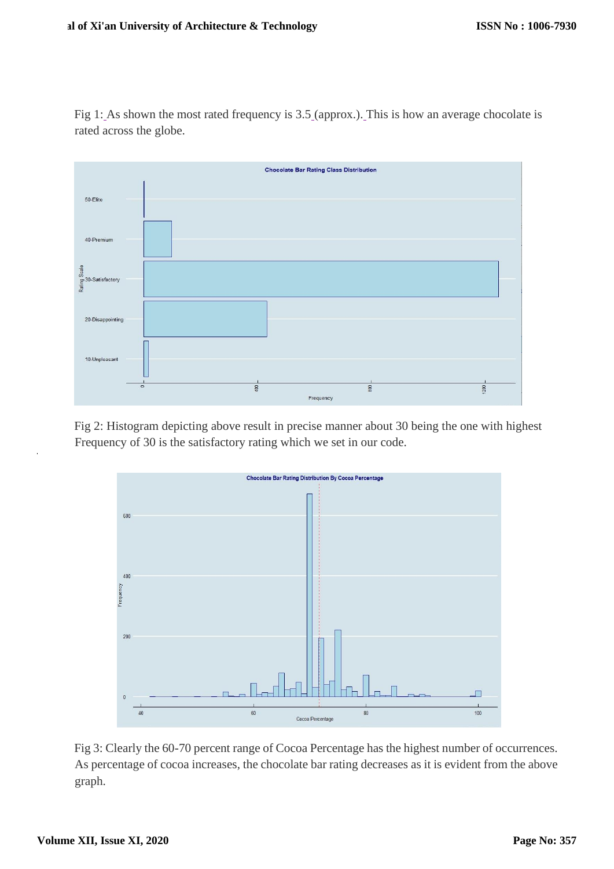Fig 1: As shown the most rated frequency is 3.5 (approx.). This is how an average chocolate is rated across the globe.



Fig 2: Histogram depicting above result in precise manner about 30 being the one with highest Frequency of 30 is the satisfactory rating which we set in our code.



Fig 3: Clearly the 60-70 percent range of Cocoa Percentage has the highest number of occurrences. As percentage of cocoa increases, the chocolate bar rating decreases as it is evident from the above graph.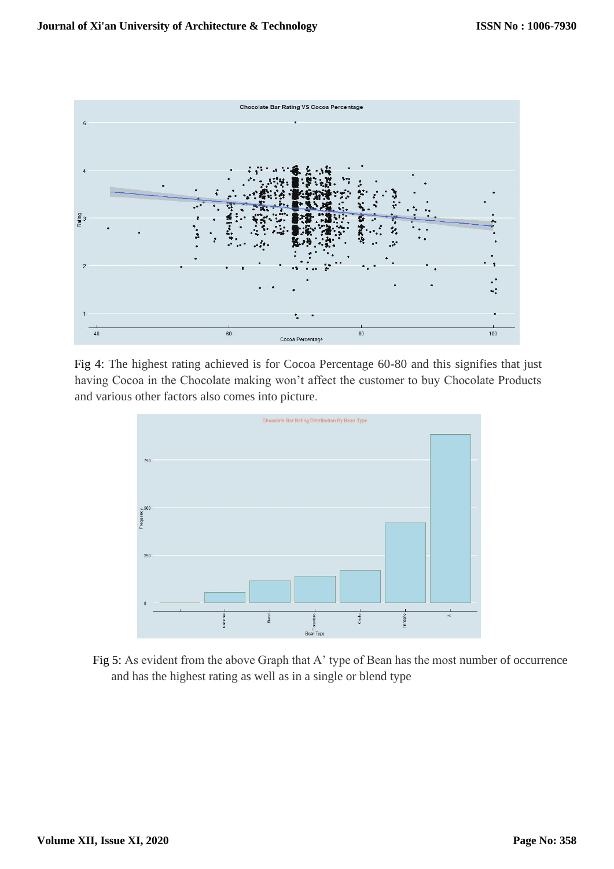

Fig 4: The highest rating achieved is for Cocoa Percentage 60-80 and this signifies that just having Cocoa in the Chocolate making won't affect the customer to buy Chocolate Products and various other factors also comes into picture.



Fig 5: As evident from the above Graph that A' type of Bean has the most number of occurrence and has the highest rating as well as in a single or blend type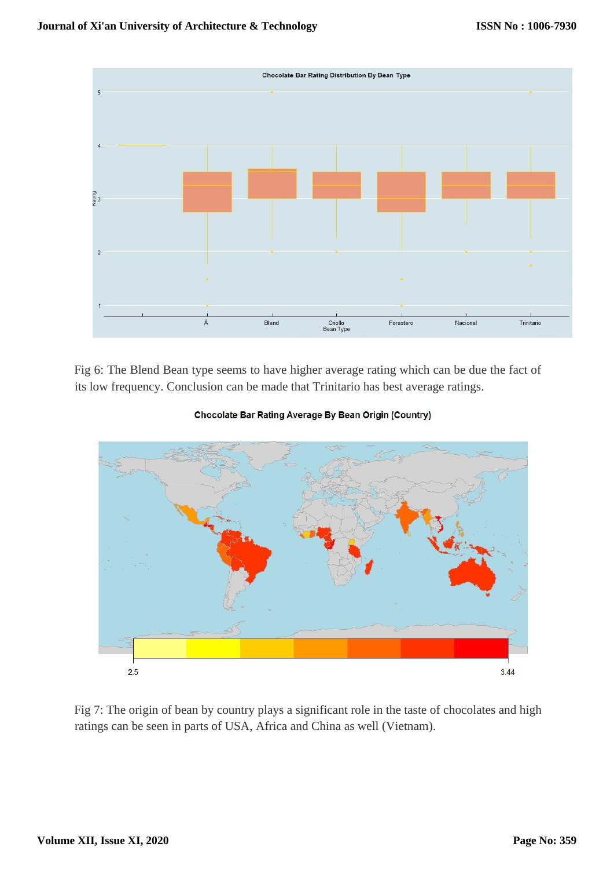

Fig 6: The Blend Bean type seems to have higher average rating which can be due the fact of its low frequency. Conclusion can be made that Trinitario has best average ratings.



Chocolate Bar Rating Average By Bean Origin (Country)

Fig 7: The origin of bean by country plays a significant role in the taste of chocolates and high ratings can be seen in parts of USA, Africa and China as well (Vietnam).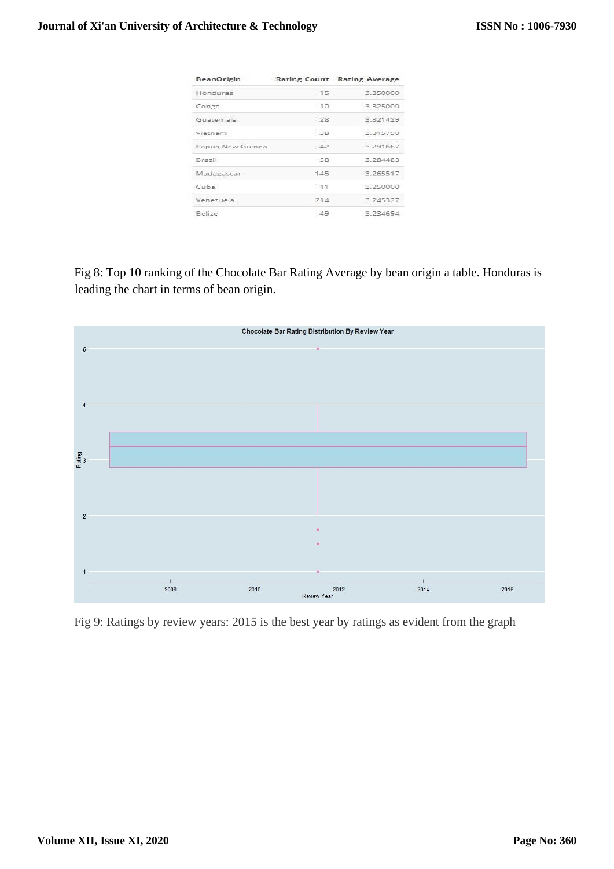| <b>BeanOrigin</b> |       | Rating Count Rating Average |
|-------------------|-------|-----------------------------|
| Honduras          | $-15$ | 3.350000                    |
| Congo             | 70    | 3.325000                    |
| Guatemala         | -28   | 3.321429                    |
| Vietnam           | 38    | 3 31 5 7 9 0                |
| Papua New Guinea  | $-42$ | 3.291667                    |
| Brazil            | -58   | 3.284483                    |
| Madagascar        | 145   | 3.265517                    |
| Cuba              | $-11$ | 3.250000                    |
| Venezuela         | 214   | 3.245327                    |
| <b>Relize</b>     | 49    | 3.23.469.4                  |

Fig 8: Top 10 ranking of the Chocolate Bar Rating Average by bean origin a table. Honduras is leading the chart in terms of bean origin.



Fig 9: Ratings by review years: 2015 is the best year by ratings as evident from the graph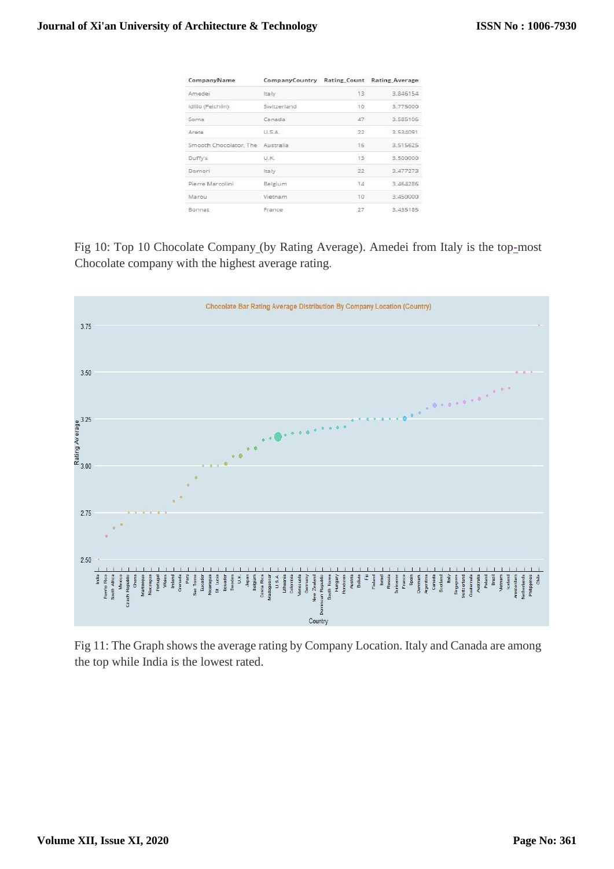| CompanyName                      | CompanyCountry Rating Count Rating Average |                 |          |
|----------------------------------|--------------------------------------------|-----------------|----------|
| Amedei                           | Italy                                      | 13 <sub>1</sub> | 3.846154 |
| Idilio (Felchlin)                | Switzerland                                | 10              | 3.775000 |
| Soma                             | Canada                                     | 47              | 3.585106 |
| Arete                            | U.S.A.                                     | 22              | 3.534091 |
| Smooth Chocolator, The Australia |                                            | 16              | 3.515625 |
| Duffy's                          | <b>UK</b>                                  | 13              | 3,500000 |
| Domori                           | Italy                                      | 22              | 3.477273 |
| Pierre Marcolini                 | Belgium                                    | Y4              | 3.464286 |
| Marou                            | Vietnam                                    | 10              | 3.450000 |
| Bonnat                           | France                                     | 27              | 3.435185 |
|                                  |                                            |                 |          |

Fig 10: Top 10 Chocolate Company (by Rating Average). Amedei from Italy is the top-most Chocolate company with the highest average rating.



Fig 11: The Graph shows the average rating by Company Location. Italy and Canada are among the top while India is the lowest rated.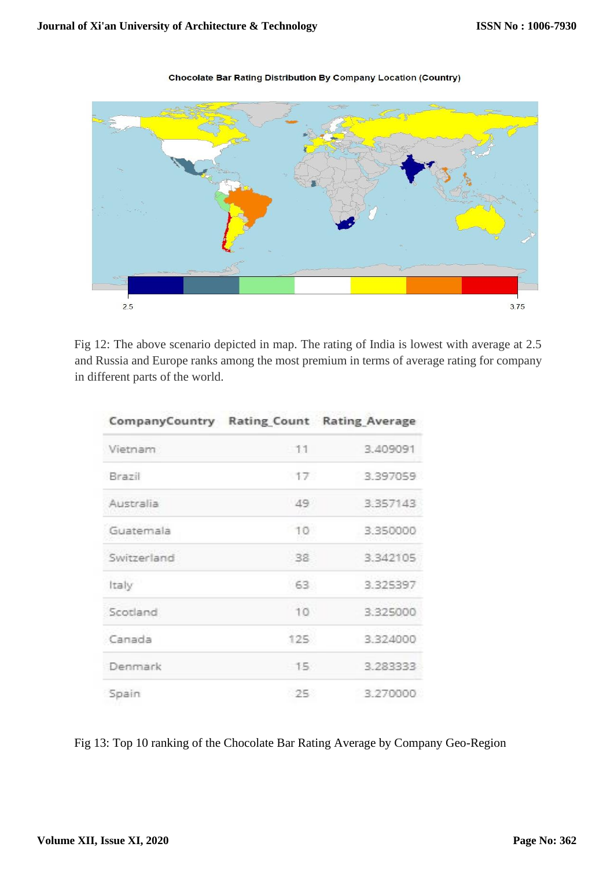

#### **Chocolate Bar Rating Distribution By Company Location (Country)**

Fig 12: The above scenario depicted in map. The rating of India is lowest with average at 2.5 and Russia and Europe ranks among the most premium in terms of average rating for company in different parts of the world.

| CompanyCountry Rating Count Rating Average |                 |          |
|--------------------------------------------|-----------------|----------|
| Vietnam                                    | $-11$           | 3.409091 |
| Brazil                                     | 17              | 3.397059 |
| Australia                                  | 49              | 3.357143 |
| Guatemala                                  | 10              | 3.350000 |
| Switzerland                                | 38              | 3.342105 |
| Italy                                      | 63              | 3.325397 |
| Scotland                                   | 10 <sup>1</sup> | 3,325000 |
| Canada                                     | 125             | 3.324000 |
| Denmark                                    | 15              | 3.283333 |
| Spain                                      | 25              | 3.270000 |

Fig 13: Top 10 ranking of the Chocolate Bar Rating Average by Company Geo-Region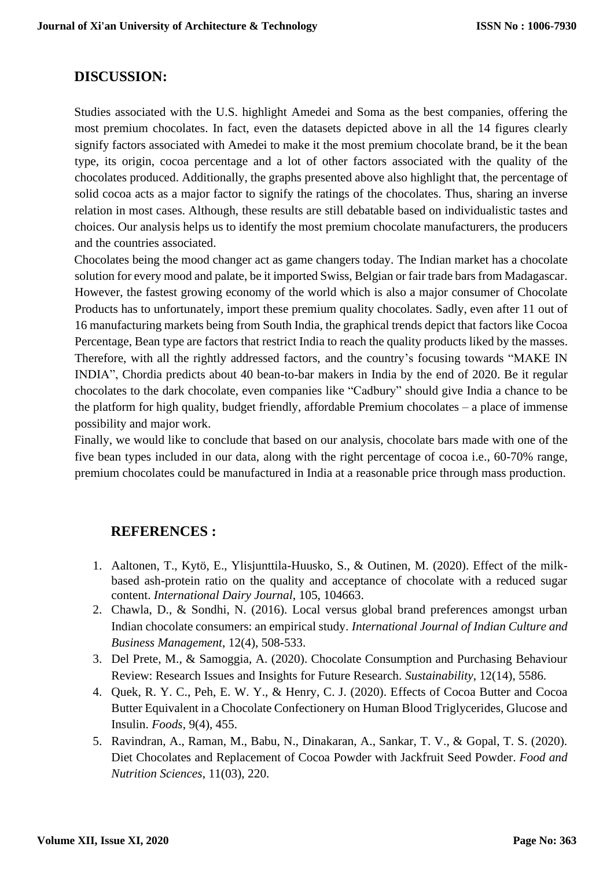#### **DISCUSSION:**

Studies associated with the U.S. highlight Amedei and Soma as the best companies, offering the most premium chocolates. In fact, even the datasets depicted above in all the 14 figures clearly signify factors associated with Amedei to make it the most premium chocolate brand, be it the bean type, its origin, cocoa percentage and a lot of other factors associated with the quality of the chocolates produced. Additionally, the graphs presented above also highlight that, the percentage of solid cocoa acts as a major factor to signify the ratings of the chocolates. Thus, sharing an inverse relation in most cases. Although, these results are still debatable based on individualistic tastes and choices. Our analysis helps us to identify the most premium chocolate manufacturers, the producers and the countries associated.

Chocolates being the mood changer act as game changers today. The Indian market has a chocolate solution for every mood and palate, be it imported Swiss, Belgian or fair trade bars from Madagascar. However, the fastest growing economy of the world which is also a major consumer of Chocolate Products has to unfortunately, import these premium quality chocolates. Sadly, even after 11 out of 16 manufacturing markets being from South India, the graphical trends depict that factors like Cocoa Percentage, Bean type are factors that restrict India to reach the quality products liked by the masses. Therefore, with all the rightly addressed factors, and the country's focusing towards "MAKE IN INDIA", Chordia predicts about 40 bean-to-bar makers in India by the end of 2020. Be it regular chocolates to the dark chocolate, even companies like "Cadbury" should give India a chance to be the platform for high quality, budget friendly, affordable Premium chocolates – a place of immense possibility and major work.

Finally, we would like to conclude that based on our analysis, chocolate bars made with one of the five bean types included in our data, along with the right percentage of cocoa i.e., 60-70% range, premium chocolates could be manufactured in India at a reasonable price through mass production.

### **REFERENCES :**

- 1. Aaltonen, T., Kytö, E., Ylisjunttila-Huusko, S., & Outinen, M. (2020). Effect of the milkbased ash-protein ratio on the quality and acceptance of chocolate with a reduced sugar content. *International Dairy Journal*, 105, 104663.
- 2. Chawla, D., & Sondhi, N. (2016). Local versus global brand preferences amongst urban Indian chocolate consumers: an empirical study. *International Journal of Indian Culture and Business Management*, 12(4), 508-533.
- 3. Del Prete, M., & Samoggia, A. (2020). Chocolate Consumption and Purchasing Behaviour Review: Research Issues and Insights for Future Research. *Sustainability*, 12(14), 5586.
- 4. Quek, R. Y. C., Peh, E. W. Y., & Henry, C. J. (2020). Effects of Cocoa Butter and Cocoa Butter Equivalent in a Chocolate Confectionery on Human Blood Triglycerides, Glucose and Insulin. *Foods*, 9(4), 455.
- 5. Ravindran, A., Raman, M., Babu, N., Dinakaran, A., Sankar, T. V., & Gopal, T. S. (2020). Diet Chocolates and Replacement of Cocoa Powder with Jackfruit Seed Powder. *Food and Nutrition Sciences*, 11(03), 220.